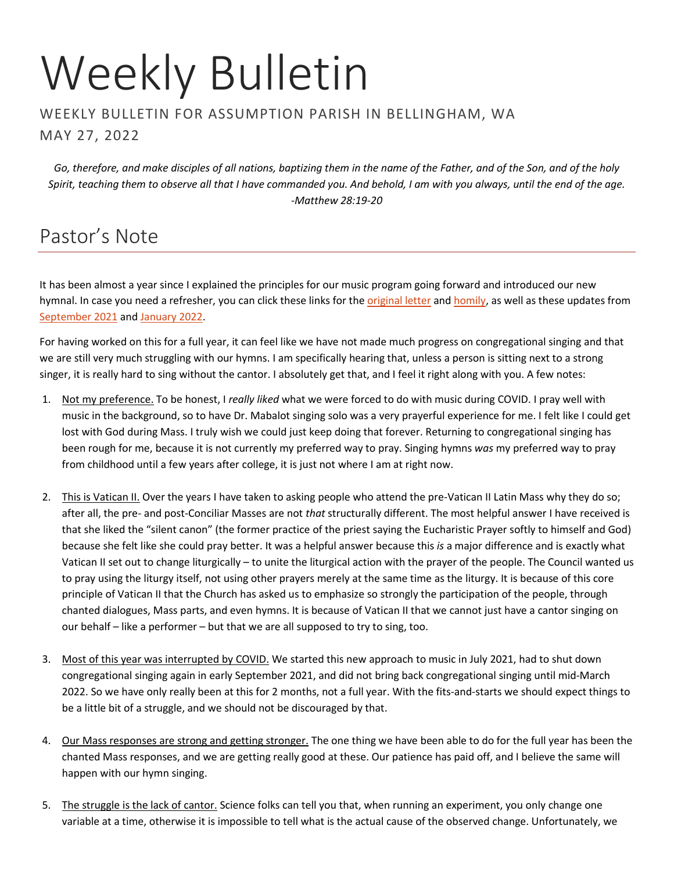# Weekly Bulletin

#### WEEKLY BULLETIN FOR ASSUMPTION PARISH IN BELLINGHAM, WA MAY 27, 2022

*Go, therefore, and make disciples of all nations, baptizing them in the name of the Father, and of the Son, and of the holy Spirit, teaching them to observe all that I have commanded you. And behold, I am with you always, until the end of the age. -Matthew 28:19-20*

## Pastor's Note

It has been almost a year since I explained the principles for our music program going forward and introduced our new hymnal. In case you need a refresher, you can click these links for the *original letter* and **homily**, as well as these updates from [September 2021](https://frmoore.com/2021/09/04/september-05-2021-here-is-your-god/) an[d January 2022.](https://frmoore.com/2022/01/28/january-28-2022-pastors-note/)

For having worked on this for a full year, it can feel like we have not made much progress on congregational singing and that we are still very much struggling with our hymns. I am specifically hearing that, unless a person is sitting next to a strong singer, it is really hard to sing without the cantor. I absolutely get that, and I feel it right along with you. A few notes:

- 1. Not my preference. To be honest, I *really liked* what we were forced to do with music during COVID. I pray well with music in the background, so to have Dr. Mabalot singing solo was a very prayerful experience for me. I felt like I could get lost with God during Mass. I truly wish we could just keep doing that forever. Returning to congregational singing has been rough for me, because it is not currently my preferred way to pray. Singing hymns *was* my preferred way to pray from childhood until a few years after college, it is just not where I am at right now.
- 2. This is Vatican II. Over the years I have taken to asking people who attend the pre-Vatican II Latin Mass why they do so; after all, the pre- and post-Conciliar Masses are not *that* structurally different. The most helpful answer I have received is that she liked the "silent canon" (the former practice of the priest saying the Eucharistic Prayer softly to himself and God) because she felt like she could pray better. It was a helpful answer because this *is* a major difference and is exactly what Vatican II set out to change liturgically – to unite the liturgical action with the prayer of the people. The Council wanted us to pray using the liturgy itself, not using other prayers merely at the same time as the liturgy. It is because of this core principle of Vatican II that the Church has asked us to emphasize so strongly the participation of the people, through chanted dialogues, Mass parts, and even hymns. It is because of Vatican II that we cannot just have a cantor singing on our behalf – like a performer – but that we are all supposed to try to sing, too.
- 3. Most of this year was interrupted by COVID. We started this new approach to music in July 2021, had to shut down congregational singing again in early September 2021, and did not bring back congregational singing until mid-March 2022. So we have only really been at this for 2 months, not a full year. With the fits-and-starts we should expect things to be a little bit of a struggle, and we should not be discouraged by that.
- 4. Our Mass responses are strong and getting stronger. The one thing we have been able to do for the full year has been the chanted Mass responses, and we are getting really good at these. Our patience has paid off, and I believe the same will happen with our hymn singing.
- 5. The struggle is the lack of cantor. Science folks can tell you that, when running an experiment, you only change one variable at a time, otherwise it is impossible to tell what is the actual cause of the observed change. Unfortunately, we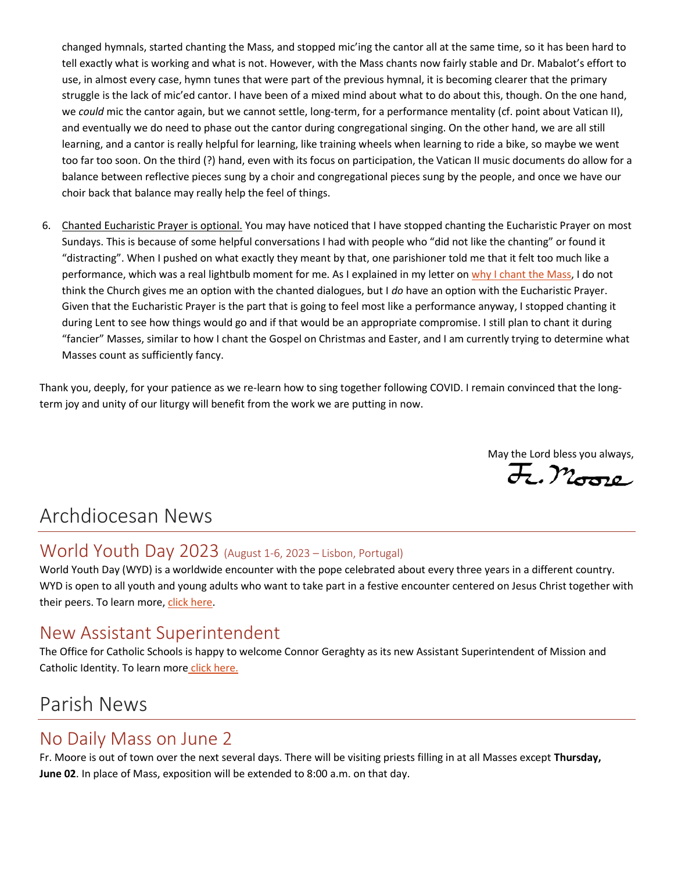changed hymnals, started chanting the Mass, and stopped mic'ing the cantor all at the same time, so it has been hard to tell exactly what is working and what is not. However, with the Mass chants now fairly stable and Dr. Mabalot's effort to use, in almost every case, hymn tunes that were part of the previous hymnal, it is becoming clearer that the primary struggle is the lack of mic'ed cantor. I have been of a mixed mind about what to do about this, though. On the one hand, we *could* mic the cantor again, but we cannot settle, long-term, for a performance mentality (cf. point about Vatican II), and eventually we do need to phase out the cantor during congregational singing. On the other hand, we are all still learning, and a cantor is really helpful for learning, like training wheels when learning to ride a bike, so maybe we went too far too soon. On the third (?) hand, even with its focus on participation, the Vatican II music documents do allow for a balance between reflective pieces sung by a choir and congregational pieces sung by the people, and once we have our choir back that balance may really help the feel of things.

6. Chanted Eucharistic Prayer is optional. You may have noticed that I have stopped chanting the Eucharistic Prayer on most Sundays. This is because of some helpful conversations I had with people who "did not like the chanting" or found it "distracting". When I pushed on what exactly they meant by that, one parishioner told me that it felt too much like a performance, which was a real lightbulb moment for me. As I explained in my letter on [why I chant](https://jeffreyhmoore.files.wordpress.com/2022/01/2022-01_why-i-chant-the-mass.pdf) the Mass, I do not think the Church gives me an option with the chanted dialogues, but I *do* have an option with the Eucharistic Prayer. Given that the Eucharistic Prayer is the part that is going to feel most like a performance anyway, I stopped chanting it during Lent to see how things would go and if that would be an appropriate compromise. I still plan to chant it during "fancier" Masses, similar to how I chant the Gospel on Christmas and Easter, and I am currently trying to determine what Masses count as sufficiently fancy.

Thank you, deeply, for your patience as we re-learn how to sing together following COVID. I remain convinced that the longterm joy and unity of our liturgy will benefit from the work we are putting in now.

May the Lord bless you always,  $\overline{\mathcal{H}}$ .  $\mathcal{M}_{\text{G2L}}$ 

## Archdiocesan News

#### World Youth Day 2023 (August 1-6, 2023 – Lisbon, Portugal)

World Youth Day (WYD) is a worldwide encounter with the pope celebrated about every three years in a different country. WYD is open to all youth and young adults who want to take part in a festive encounter centered on Jesus Christ together with their peers. To learn more, [click here.](https://archseattle.org/for-parishes/for-parishes-youth-ministry/world-youth-day-2023/)

#### New Assistant Superintendent

The Office for Catholic Schools is happy to welcome Connor Geraghty as its new Assistant Superintendent of Mission and Catholic Identity. To [learn more](https://seattlearch.box.com/s/o5tdc10ufgl9ncafcm0a0mgoh2mqshb5) [click here.](https://seattlearch.app.box.com/s/o5tdc10ufgl9ncafcm0a0mgoh2mqshb5)

## Parish News

#### No Daily Mass on June 2

Fr. Moore is out of town over the next several days. There will be visiting priests filling in at all Masses except **Thursday, June 02**. In place of Mass, exposition will be extended to 8:00 a.m. on that day.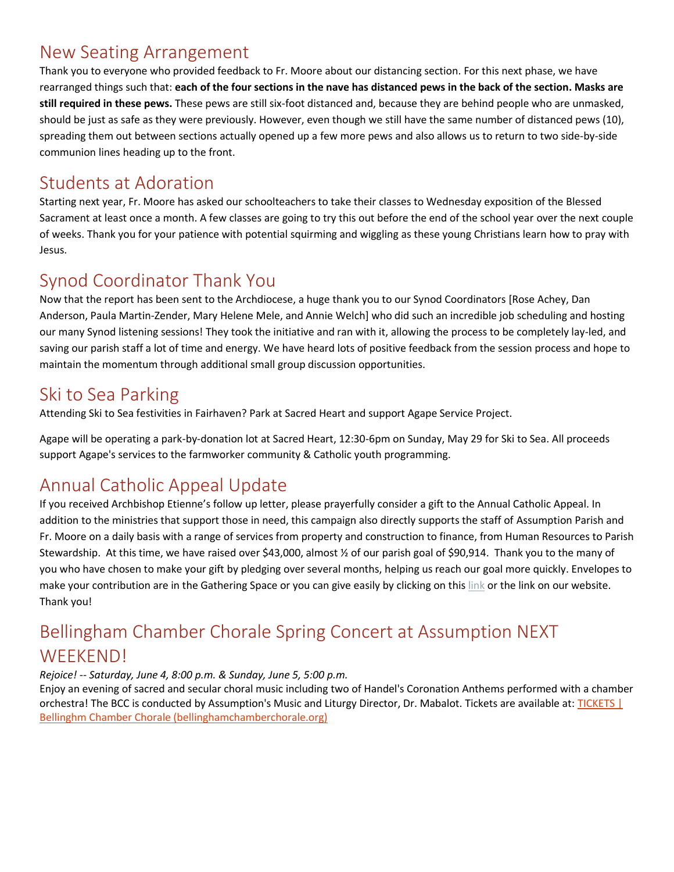#### New Seating Arrangement

Thank you to everyone who provided feedback to Fr. Moore about our distancing section. For this next phase, we have rearranged things such that: **each of the four sections in the nave has distanced pews in the back of the section. Masks are still required in these pews.** These pews are still six-foot distanced and, because they are behind people who are unmasked, should be just as safe as they were previously. However, even though we still have the same number of distanced pews (10), spreading them out between sections actually opened up a few more pews and also allows us to return to two side-by-side communion lines heading up to the front.

#### Students at Adoration

Starting next year, Fr. Moore has asked our schoolteachers to take their classes to Wednesday exposition of the Blessed Sacrament at least once a month. A few classes are going to try this out before the end of the school year over the next couple of weeks. Thank you for your patience with potential squirming and wiggling as these young Christians learn how to pray with Jesus.

### Synod Coordinator Thank You

Now that the report has been sent to the Archdiocese, a huge thank you to our Synod Coordinators [Rose Achey, Dan Anderson, Paula Martin-Zender, Mary Helene Mele, and Annie Welch] who did such an incredible job scheduling and hosting our many Synod listening sessions! They took the initiative and ran with it, allowing the process to be completely lay-led, and saving our parish staff a lot of time and energy. We have heard lots of positive feedback from the session process and hope to maintain the momentum through additional small group discussion opportunities.

#### Ski to Sea Parking

Attending Ski to Sea festivities in Fairhaven? Park at Sacred Heart and support Agape Service Project.

Agape will be operating a park-by-donation lot at Sacred Heart, 12:30-6pm on Sunday, May 29 for Ski to Sea. All proceeds support Agape's services to the farmworker community & Catholic youth programming.

## Annual Catholic Appeal Update

If you received Archbishop Etienne's follow up letter, please prayerfully consider a gift to the Annual Catholic Appeal. In addition to the ministries that support those in need, this campaign also directly supports the staff of Assumption Parish and Fr. Moore on a daily basis with a range of services from property and construction to finance, from Human Resources to Parish Stewardship. At this time, we have raised over \$43,000, almost ½ of our parish goal of \$90,914. Thank you to the many of you who have chosen to make your gift by pledging over several months, helping us reach our goal more quickly. Envelopes to make your contribution are in the Gathering Space or you can give easily by clicking on thi[s link](http://www.archseattle.org/GiveACA) or the link on our website. Thank you!

## Bellingham Chamber Chorale Spring Concert at Assumption NEXT WEEKEND!

#### *Rejoice! -- Saturday, June 4, 8:00 p.m. & Sunday, June 5, 5:00 p.m.*

Enjoy an evening of sacred and secular choral music including two of Handel's Coronation Anthems performed with a chamber orchestra! The BCC is conducted by Assumption's Music and Liturgy Director, Dr. Mabalot. Tickets are available at: TICKETS | [Bellinghm Chamber Chorale \(bellinghamchamberchorale.org\)](https://www.bellinghamchamberchorale.org/tickets)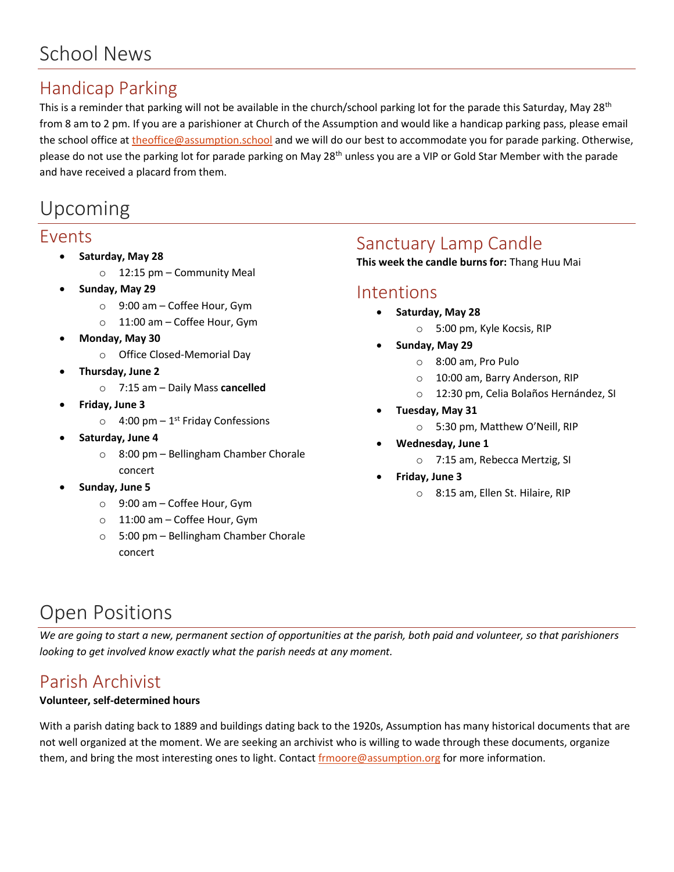## School News

### Handicap Parking

This is a reminder that parking will not be available in the church/school parking lot for the parade this Saturday, May 28<sup>th</sup> from 8 am to 2 pm. If you are a parishioner at Church of the Assumption and would like a handicap parking pass, please email the school office at [theoffice@assumption.school](mailto:theoffice@assumption.school) and we will do our best to accommodate you for parade parking. Otherwise, please do not use the parking lot for parade parking on May 28<sup>th</sup> unless you are a VIP or Gold Star Member with the parade and have received a placard from them.

## Upcoming

#### Events

- **Saturday, May 28**
	- o 12:15 pm Community Meal
- **Sunday, May 29**
	- o 9:00 am Coffee Hour, Gym
	- o 11:00 am Coffee Hour, Gym
- **Monday, May 30**
	- o Office Closed-Memorial Day
- **Thursday, June 2**
	- o 7:15 am Daily Mass **cancelled**
- **Friday, June 3**
	- $\circ$  4:00 pm 1<sup>st</sup> Friday Confessions
- **Saturday, June 4**
	- o 8:00 pm Bellingham Chamber Chorale concert
- **Sunday, June 5**
	- o 9:00 am Coffee Hour, Gym
	- o 11:00 am Coffee Hour, Gym
	- o 5:00 pm Bellingham Chamber Chorale concert

#### Sanctuary Lamp Candle

**This week the candle burns for:** Thang Huu Mai

#### Intentions

- **Saturday, May 28**
	- o 5:00 pm, Kyle Kocsis, RIP
- **Sunday, May 29**
	- o 8:00 am, Pro Pulo
	- o 10:00 am, Barry Anderson, RIP
	- o 12:30 pm, Celia Bolaños Hernández, SI
- **Tuesday, May 31**
	- o 5:30 pm, Matthew O'Neill, RIP
- **Wednesday, June 1**
	- o 7:15 am, Rebecca Mertzig, SI
- **Friday, June 3**
	- o 8:15 am, Ellen St. Hilaire, RIP

## Open Positions

*We are going to start a new, permanent section of opportunities at the parish, both paid and volunteer, so that parishioners looking to get involved know exactly what the parish needs at any moment.*

## Parish Archivist

#### **Volunteer, self-determined hours**

With a parish dating back to 1889 and buildings dating back to the 1920s, Assumption has many historical documents that are not well organized at the moment. We are seeking an archivist who is willing to wade through these documents, organize them, and bring the most interesting ones to light. Contact [frmoore@assumption.org](mailto:frmoore@assumption.org) for more information.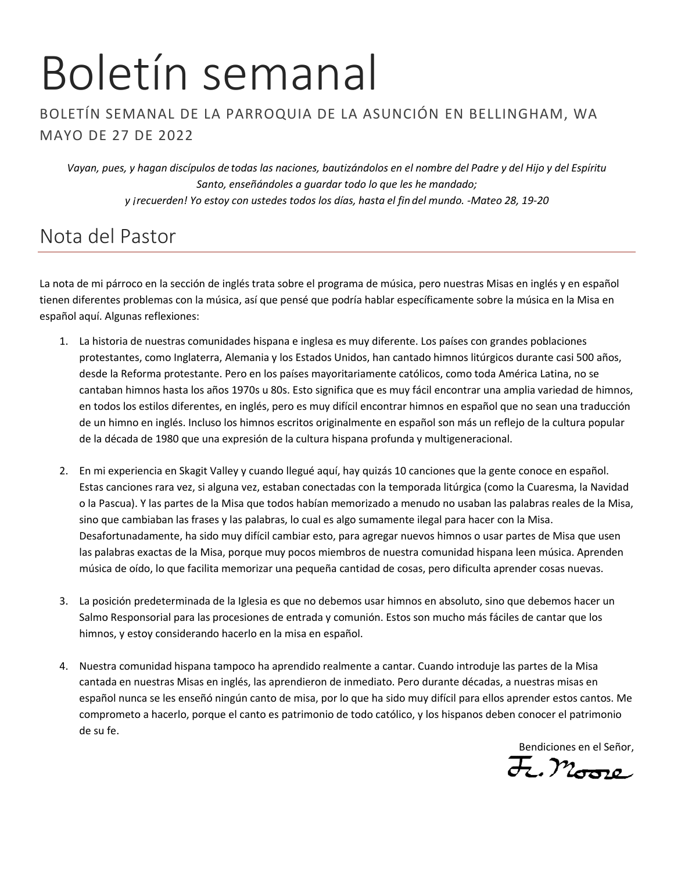# Boletín semanal

#### BOLETÍN SEMANAL DE LA PARROQUIA DE LA ASUNCIÓN EN BELLINGHAM, WA MAYO DE 27 DE 2022

*Vayan, pues, y hagan discípulos de todas las naciones, bautizándolos en el nombre del Padre y del Hijo y del Espíritu Santo, enseñándoles a guardar todo lo que les he mandado; y ¡recuerden! Yo estoy con ustedes todos los días, hasta el fin del mundo. -Mateo 28, 19-20*

## Nota del Pastor

La nota de mi párroco en la sección de inglés trata sobre el programa de música, pero nuestras Misas en inglés y en español tienen diferentes problemas con la música, así que pensé que podría hablar específicamente sobre la música en la Misa en español aquí. Algunas reflexiones:

- 1. La historia de nuestras comunidades hispana e inglesa es muy diferente. Los países con grandes poblaciones protestantes, como Inglaterra, Alemania y los Estados Unidos, han cantado himnos litúrgicos durante casi 500 años, desde la Reforma protestante. Pero en los países mayoritariamente católicos, como toda América Latina, no se cantaban himnos hasta los años 1970s u 80s. Esto significa que es muy fácil encontrar una amplia variedad de himnos, en todos los estilos diferentes, en inglés, pero es muy difícil encontrar himnos en español que no sean una traducción de un himno en inglés. Incluso los himnos escritos originalmente en español son más un reflejo de la cultura popular de la década de 1980 que una expresión de la cultura hispana profunda y multigeneracional.
- 2. En mi experiencia en Skagit Valley y cuando llegué aquí, hay quizás 10 canciones que la gente conoce en español. Estas canciones rara vez, si alguna vez, estaban conectadas con la temporada litúrgica (como la Cuaresma, la Navidad o la Pascua). Y las partes de la Misa que todos habían memorizado a menudo no usaban las palabras reales de la Misa, sino que cambiaban las frases y las palabras, lo cual es algo sumamente ilegal para hacer con la Misa. Desafortunadamente, ha sido muy difícil cambiar esto, para agregar nuevos himnos o usar partes de Misa que usen las palabras exactas de la Misa, porque muy pocos miembros de nuestra comunidad hispana leen música. Aprenden música de oído, lo que facilita memorizar una pequeña cantidad de cosas, pero dificulta aprender cosas nuevas.
- 3. La posición predeterminada de la Iglesia es que no debemos usar himnos en absoluto, sino que debemos hacer un Salmo Responsorial para las procesiones de entrada y comunión. Estos son mucho más fáciles de cantar que los himnos, y estoy considerando hacerlo en la misa en español.
- 4. Nuestra comunidad hispana tampoco ha aprendido realmente a cantar. Cuando introduje las partes de la Misa cantada en nuestras Misas en inglés, las aprendieron de inmediato. Pero durante décadas, a nuestras misas en español nunca se les enseñó ningún canto de misa, por lo que ha sido muy difícil para ellos aprender estos cantos. Me comprometo a hacerlo, porque el canto es patrimonio de todo católico, y los hispanos deben conocer el patrimonio de su fe.

Bendiciones en el Señor,<br>H., Moore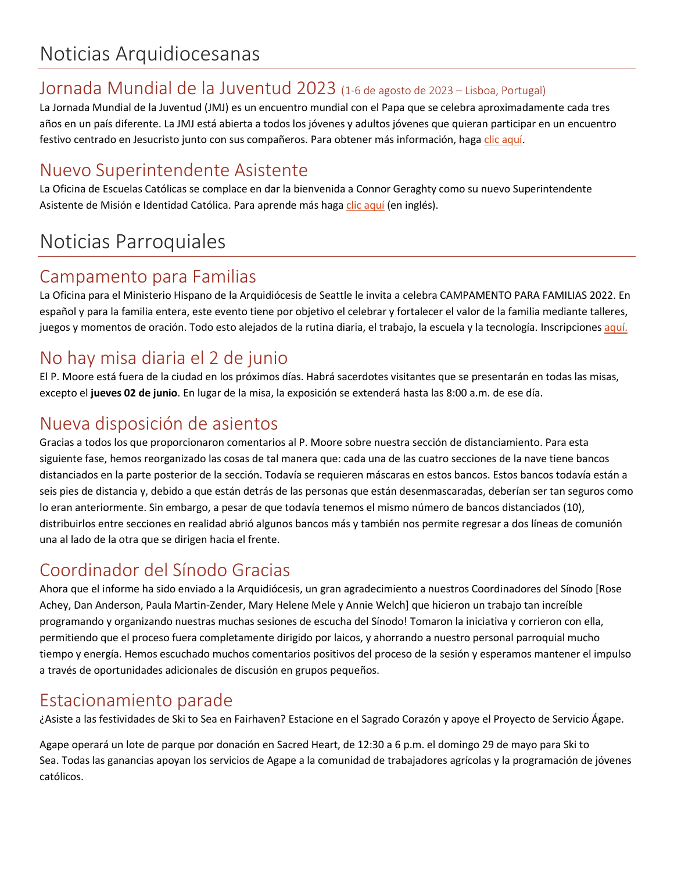#### Jornada Mundial de la Juventud 2023 (1-6 de agosto de 2023 – Lisboa, Portugal)

La Jornada Mundial de la Juventud (JMJ) es un encuentro mundial con el Papa que se celebra aproximadamente cada tres años en un país diferente. La JMJ está abierta a todos los jóvenes y adultos jóvenes que quieran participar en un encuentro festivo centrado en Jesucristo junto con sus compañeros. Para obtener más información, hag[a clic aquí.](https://archseattle.org/jornada-mundial-de-la-juventud-2023/?lang=es)

## Nuevo Superintendente Asistente

La Oficina de Escuelas Católicas se complace en dar la bienvenida a Connor Geraghty como su nuevo Superintendente Asistente de Misión e Identidad Católica. Para aprende más hag[a clic aquí](https://seattlearch.app.box.com/s/o5tdc10ufgl9ncafcm0a0mgoh2mqshb5) (en inglés).

# Noticias Parroquiales

#### Campamento para Familias

La Oficina para el Ministerio Hispano de la Arquidiócesis de Seattle le invita a celebra CAMPAMENTO PARA FAMILIAS 2022. En español y para la familia entera, este evento tiene por objetivo el celebrar y fortalecer el valor de la familia mediante talleres, juegos y momentos de oración. Todo esto alejados de la rutina diaria, el trabajo, la escuela y la tecnología. Inscripciones [aquí.](https://archdioceseofseattle-jlits.formstack.com/forms/campfam2020_copy?fbclid=IwAR1RqmMkhgzPH4I45jm22w6cBkhWRNP9flQV4eK-LNtykLbkkszstiJavu8)

## No hay misa diaria el 2 de junio

El P. Moore está fuera de la ciudad en los próximos días. Habrá sacerdotes visitantes que se presentarán en todas las misas, excepto el **jueves 02 de junio**. En lugar de la misa, la exposición se extenderá hasta las 8:00 a.m. de ese día.

#### Nueva disposición de asientos

Gracias a todos los que proporcionaron comentarios al P. Moore sobre nuestra sección de distanciamiento. Para esta siguiente fase, hemos reorganizado las cosas de tal manera que: cada una de las cuatro secciones de la nave tiene bancos distanciados en la parte posterior de la sección. Todavía se requieren máscaras en estos bancos. Estos bancos todavía están a seis pies de distancia y, debido a que están detrás de las personas que están desenmascaradas, deberían ser tan seguros como lo eran anteriormente. Sin embargo, a pesar de que todavía tenemos el mismo número de bancos distanciados (10), distribuirlos entre secciones en realidad abrió algunos bancos más y también nos permite regresar a dos líneas de comunión una al lado de la otra que se dirigen hacia el frente.

## Coordinador del Sínodo Gracias

Ahora que el informe ha sido enviado a la Arquidiócesis, un gran agradecimiento a nuestros Coordinadores del Sínodo [Rose Achey, Dan Anderson, Paula Martin-Zender, Mary Helene Mele y Annie Welch] que hicieron un trabajo tan increíble programando y organizando nuestras muchas sesiones de escucha del Sínodo! Tomaron la iniciativa y corrieron con ella, permitiendo que el proceso fuera completamente dirigido por laicos, y ahorrando a nuestro personal parroquial mucho tiempo y energía. Hemos escuchado muchos comentarios positivos del proceso de la sesión y esperamos mantener el impulso a través de oportunidades adicionales de discusión en grupos pequeños.

## Estacionamiento parade

¿Asiste a las festividades de Ski to Sea en Fairhaven? Estacione en el Sagrado Corazón y apoye el Proyecto de Servicio Ágape.

Agape operará un lote de parque por donación en Sacred Heart, de 12:30 a 6 p.m. el domingo 29 de mayo para Ski to Sea. Todas las ganancias apoyan los servicios de Agape a la comunidad de trabajadores agrícolas y la programación de jóvenes católicos.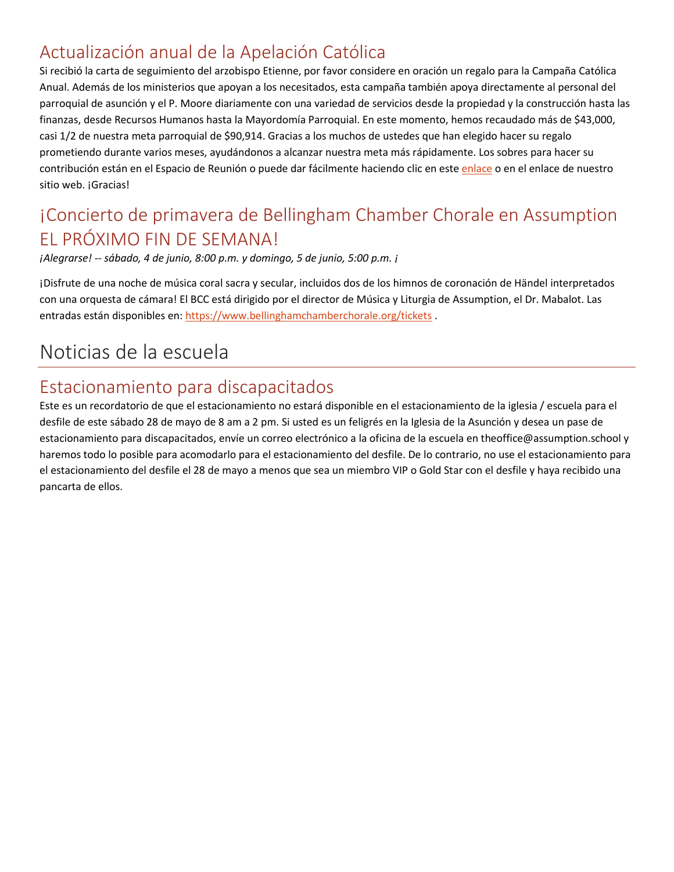## Actualización anual de la Apelación Católica

Si recibió la carta de seguimiento del arzobispo Etienne, por favor considere en oración un regalo para la Campaña Católica Anual. Además de los ministerios que apoyan a los necesitados, esta campaña también apoya directamente al personal del parroquial de asunción y el P. Moore diariamente con una variedad de servicios desde la propiedad y la construcción hasta las finanzas, desde Recursos Humanos hasta la Mayordomía Parroquial. En este momento, hemos recaudado más de \$43,000, casi 1/2 de nuestra meta parroquial de \$90,914. Gracias a los muchos de ustedes que han elegido hacer su regalo prometiendo durante varios meses, ayudándonos a alcanzar nuestra meta más rápidamente. Los sobres para hacer su contribución están en el Espacio de Reunión o puede dar fácilmente haciendo clic en est[e enlace](https://archseattle.org/dar-y-servir/oportunidades-para-dar/peticion-catolica-anual/2022-aca-proximamente/?lang=es) o en el enlace de nuestro sitio web. ¡Gracias!

## ¡Concierto de primavera de Bellingham Chamber Chorale en Assumption EL PRÓXIMO FIN DE SEMANA!

*¡Alegrarse! -- sábado, 4 de junio, 8:00 p.m. y domingo, 5 de junio, 5:00 p.m. ¡*

¡Disfrute de una noche de música coral sacra y secular, incluidos dos de los himnos de coronación de Händel interpretados con una orquesta de cámara! El BCC está dirigido por el director de Música y Liturgia de Assumption, el Dr. Mabalot. Las entradas están disponibles en[: https://www.bellinghamchamberchorale.org/tickets](https://www.bellinghamchamberchorale.org/tickets) .

## Noticias de la escuela

#### Estacionamiento para discapacitados

Este es un recordatorio de que el estacionamiento no estará disponible en el estacionamiento de la iglesia / escuela para el desfile de este sábado 28 de mayo de 8 am a 2 pm. Si usted es un feligrés en la Iglesia de la Asunción y desea un pase de estacionamiento para discapacitados, envíe un correo electrónico a la oficina de la escuela en theoffice@assumption.school y haremos todo lo posible para acomodarlo para el estacionamiento del desfile. De lo contrario, no use el estacionamiento para el estacionamiento del desfile el 28 de mayo a menos que sea un miembro VIP o Gold Star con el desfile y haya recibido una pancarta de ellos.